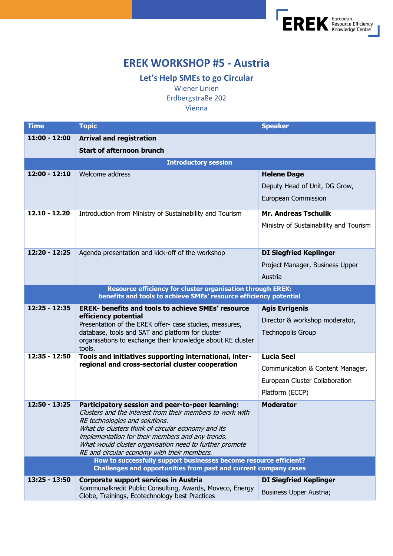

## **EREK WORKSHOP #5 - Austria**

**Let's Help SMEs to go Circular** Wiener Linien Erdbergstraße 202 Vienna

| <b>Time</b>                                                                                                                                     | <b>Topic</b>                                                                                                     | <b>Speaker</b>                         |  |
|-------------------------------------------------------------------------------------------------------------------------------------------------|------------------------------------------------------------------------------------------------------------------|----------------------------------------|--|
| 11:00 - 12:00                                                                                                                                   | <b>Arrival and registration</b>                                                                                  |                                        |  |
|                                                                                                                                                 | <b>Start of afternoon brunch</b>                                                                                 |                                        |  |
| <b>Introductory session</b>                                                                                                                     |                                                                                                                  |                                        |  |
| 12:00 - 12:10                                                                                                                                   | Welcome address                                                                                                  | <b>Helene Dage</b>                     |  |
|                                                                                                                                                 |                                                                                                                  | Deputy Head of Unit, DG Grow,          |  |
|                                                                                                                                                 |                                                                                                                  | European Commission                    |  |
| $12.10 - 12.20$                                                                                                                                 | Introduction from Ministry of Sustainability and Tourism                                                         | <b>Mr. Andreas Tschulik</b>            |  |
|                                                                                                                                                 |                                                                                                                  | Ministry of Sustainability and Tourism |  |
|                                                                                                                                                 |                                                                                                                  |                                        |  |
| 12:20 - 12:25                                                                                                                                   | Agenda presentation and kick-off of the workshop                                                                 | <b>DI Siegfried Keplinger</b>          |  |
|                                                                                                                                                 |                                                                                                                  | Project Manager, Business Upper        |  |
|                                                                                                                                                 |                                                                                                                  | Austria                                |  |
| <b>Resource efficiency for cluster organisation through EREK:</b>                                                                               |                                                                                                                  |                                        |  |
| benefits and tools to achieve SMEs' resource efficiency potential<br>12:25 - 12:35<br><b>EREK- benefits and tools to achieve SMEs' resource</b> |                                                                                                                  |                                        |  |
|                                                                                                                                                 | efficiency potential                                                                                             | <b>Agis Evrigenis</b>                  |  |
|                                                                                                                                                 | Presentation of the EREK offer- case studies, measures,                                                          | Director & workshop moderator,         |  |
|                                                                                                                                                 | database, tools and SAT and platform for cluster<br>organisations to exchange their knowledge about RE cluster   | <b>Technopolis Group</b>               |  |
| 12:35 - 12:50                                                                                                                                   | tools.                                                                                                           | <b>Lucia Seel</b>                      |  |
|                                                                                                                                                 | Tools and initiatives supporting international, inter-<br>regional and cross-sectorial cluster cooperation       |                                        |  |
|                                                                                                                                                 |                                                                                                                  | Communication & Content Manager,       |  |
|                                                                                                                                                 |                                                                                                                  | European Cluster Collaboration         |  |
|                                                                                                                                                 |                                                                                                                  | Platform (ECCP)                        |  |
| 12:50 - 13:25                                                                                                                                   | Participatory session and peer-to-peer learning:<br>Clusters and the interest from their members to work with    | <b>Moderator</b>                       |  |
|                                                                                                                                                 | RE technologies and solutions.                                                                                   |                                        |  |
|                                                                                                                                                 | What do clusters think of circular economy and its<br>implementation for their members and any trends.           |                                        |  |
|                                                                                                                                                 | What would cluster organisation need to further promote                                                          |                                        |  |
|                                                                                                                                                 | RE and circular economy with their members.<br>How to successfully support businesses become resource efficient? |                                        |  |
|                                                                                                                                                 | Challenges and opportunities from past and current company cases                                                 |                                        |  |
| 13:25 - 13:50                                                                                                                                   | <b>Corporate support services in Austria</b>                                                                     | <b>DI Siegfried Keplinger</b>          |  |
|                                                                                                                                                 | Kommunalkredit Public Consulting, Awards, Moveco, Energy<br>Globe, Trainings, Ecotechnology best Practices       | Business Upper Austria;                |  |